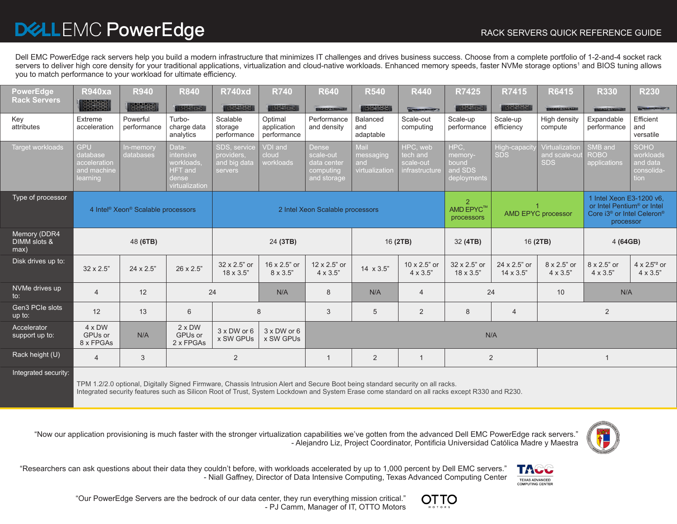## D&LLEMC PowerEdge

Dell EMC PowerEdge rack servers help you build a modern infrastructure that minimizes IT challenges and drives business success. Choose from a complete portfolio of 1-2-and-4 socket rack servers to deliver high core density for your traditional applications, virtualization and cloud-native workloads. Enhanced memory speeds, faster NVMe storage options1 and BIOS tuning allows you to match performance to your workload for ultimate efficiency.

| <b>PowerEdge</b><br><b>Rack Servers</b> | <b>R940xa</b>                                                     | <b>R940</b><br>33388    | <b>R840</b><br><b>GADAC ROAD</b>                                                     | <b>R740xd</b><br>以改变实现                                | <b>R740</b><br><b><i><u>GRORE RORD</u></i></b> | <b>R640</b><br><b>BEOERINGS</b>                                      | <b>R540</b><br>1500000                     | <b>R440</b><br><b>Demonstrate</b>                   | <b>R7425</b><br><b>以改名为</b>                           | R7415<br><b>TADAS TORD</b>       | R6415<br><b>BEACHING THE</b>                 | <b>R330</b><br><b>DECEMBER 4</b>                                                                                                      | <b>R230</b><br><b>In the Street West Corporation</b>       |
|-----------------------------------------|-------------------------------------------------------------------|-------------------------|--------------------------------------------------------------------------------------|-------------------------------------------------------|------------------------------------------------|----------------------------------------------------------------------|--------------------------------------------|-----------------------------------------------------|-------------------------------------------------------|----------------------------------|----------------------------------------------|---------------------------------------------------------------------------------------------------------------------------------------|------------------------------------------------------------|
| Key<br>attributes                       | Extreme<br>acceleration                                           | Powerful<br>performance | Turbo-<br>charge data<br>analytics                                                   | Scalable<br>storage<br>performance                    | Optimal<br>application<br>performance          | Performance<br>and density                                           | Balanced<br>and<br>adaptable               | Scale-out<br>computing                              | Scale-up<br>performance                               | Scale-up<br>efficiency           | High density<br>compute                      | Expandable<br>performance                                                                                                             | Efficient<br>and<br>versatile                              |
| <b>Target workloads</b>                 | <b>GPU</b><br>database<br>acceleration<br>and machine<br>learning | In-memory<br>databases  | Data-<br><i>intensive</i><br>workloads.<br><b>HFT</b> and<br>dense<br>virtualization | SDS, service<br>providers.<br>and big data<br>servers | <b>VDI</b> and<br>cloud<br>workloads           | <b>Dense</b><br>scale-out<br>data center<br>computing<br>and storage | Mail<br>messaging<br>and<br>virtualization | HPC, web<br>tech and<br>scale-out<br>infrastructure | HPC.<br>memory-<br>bound<br>and SDS<br>deployments    | High-capacit<br><b>SDS</b>       | Virtualization<br>and scale-ou<br><b>SDS</b> | SMB and<br><b>ROBO</b><br>applications                                                                                                | <b>SOHO</b><br>workloads<br>and data<br>consolida-<br>tion |
| Type of processor                       | 4 Intel <sup>®</sup> Xeon <sup>®</sup> Scalable processors        |                         |                                                                                      | 2 Intel Xeon Scalable processors                      |                                                |                                                                      |                                            |                                                     | $\overline{2}$<br>AMD EPYC <sup>™</sup><br>processors | <b>AMD EPYC processor</b>        |                                              | 1 Intel Xeon E3-1200 v6,<br>or Intel Pentium <sup>®</sup> or Intel<br>Core i3 <sup>®</sup> or Intel Celeron <sup>®</sup><br>processor |                                                            |
| Memory (DDR4<br>DIMM slots &            | 48 (6TB)                                                          |                         |                                                                                      | 24 (3TB)                                              |                                                |                                                                      | 16 (2TB)                                   |                                                     | 32 (4TB)                                              | 16 (2TB)                         |                                              | 4 (64GB)                                                                                                                              |                                                            |
| max)                                    |                                                                   |                         |                                                                                      |                                                       |                                                |                                                                      |                                            |                                                     |                                                       |                                  |                                              |                                                                                                                                       |                                                            |
| Disk drives up to:                      | $32 \times 2.5$ "                                                 | $24 \times 2.5"$        | $26 \times 2.5"$                                                                     | 32 x 2.5" or<br>$18 \times 3.5$ "                     | 16 x 2.5" or<br>8 x 3.5"                       | 12 x 2.5" or<br>4 x 3.5"                                             | $14 \times 3.5$ "                          | 10 x 2.5" or<br>$4 \times 3.5"$                     | 32 x 2.5" or<br>$18 \times 3.5$ "                     | 24 x 2.5" or<br>$14 \times 3.5"$ | 8 x 2.5" or<br>$4 \times 3.5"$               | 8 x 2.5" or<br>$4 \times 3.5"$                                                                                                        | $4 \times 2.5^{3}$ or<br>$4 \times 3.5"$                   |
| NVMe drives up<br>$\mathsf{to}$ :       | $\overline{4}$                                                    | 12                      |                                                                                      | 24                                                    | N/A                                            | 8                                                                    | N/A                                        | $\overline{4}$                                      | 24                                                    |                                  | 10                                           | N/A                                                                                                                                   |                                                            |
| Gen3 PCIe slots<br>up to:               | 12                                                                | 13                      | 6                                                                                    |                                                       | 8                                              | 3                                                                    | 5                                          | 2                                                   | 8                                                     | $\overline{4}$                   |                                              | 2                                                                                                                                     |                                                            |
| Accelerator<br>support up to:           | $4 \times DW$<br>GPUs or<br>8 x FPGAs                             | N/A                     | $2 \times DW$<br>GPUs or<br>2 x FPGAs                                                | $3 \times$ DW or 6<br>x SW GPUs                       | $3 \times$ DW or 6<br>x SW GPUs                |                                                                      |                                            |                                                     | N/A                                                   |                                  |                                              |                                                                                                                                       |                                                            |
| Rack height (U)                         | $\overline{4}$                                                    | 3                       |                                                                                      | 2                                                     |                                                |                                                                      | 2                                          | $\mathbf{1}$                                        |                                                       | 2                                |                                              |                                                                                                                                       |                                                            |

Integrated security features such as Silicon Root of Trust, System Lockdown and System Erase come standard on all racks except R330 and R230.



"Now our application provisioning is much faster with the stronger virtualization capabilities we've gotten from the advanced Dell EMC PowerEdge rack servers." - Alejandro Liz, Project Coordinator, Pontificia Universidad Católica Madre y Maestra



"Researchers can ask questions about their data they couldn't before, with workloads accelerated by up to 1,000 percent by Dell EMC servers." - Niall Gaffney, Director of Data Intensive Computing, Texas Advanced Computing Center



"Our PowerEdge Servers are the bedrock of our data center, they run everything mission critical." - PJ Camm, Manager of IT, OTTO Motors